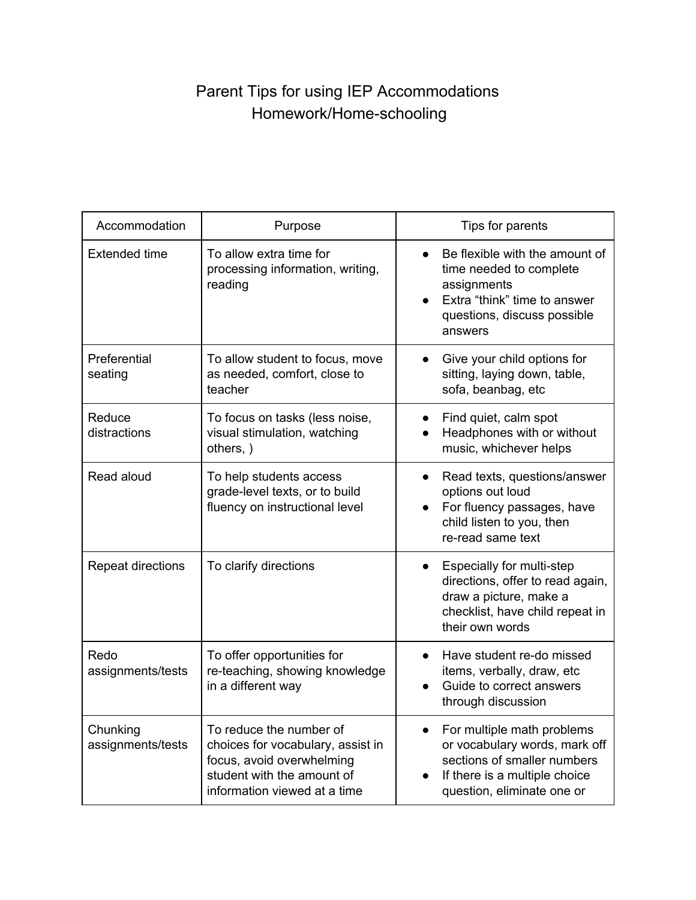## Parent Tips for using IEP Accommodations Homework/Home-schooling

| Accommodation                 | Purpose                                                                                                                                                 | Tips for parents                                                                                                                                                       |
|-------------------------------|---------------------------------------------------------------------------------------------------------------------------------------------------------|------------------------------------------------------------------------------------------------------------------------------------------------------------------------|
| <b>Extended time</b>          | To allow extra time for<br>processing information, writing,<br>reading                                                                                  | Be flexible with the amount of<br>time needed to complete<br>assignments<br>Extra "think" time to answer<br>$\bullet$<br>questions, discuss possible<br>answers        |
| Preferential<br>seating       | To allow student to focus, move<br>as needed, comfort, close to<br>teacher                                                                              | Give your child options for<br>$\bullet$<br>sitting, laying down, table,<br>sofa, beanbag, etc                                                                         |
| Reduce<br>distractions        | To focus on tasks (less noise,<br>visual stimulation, watching<br>others, )                                                                             | Find quiet, calm spot<br>$\bullet$<br>Headphones with or without<br>music, whichever helps                                                                             |
| Read aloud                    | To help students access<br>grade-level texts, or to build<br>fluency on instructional level                                                             | Read texts, questions/answer<br>$\bullet$<br>options out loud<br>For fluency passages, have<br>$\bullet$<br>child listen to you, then<br>re-read same text             |
| Repeat directions             | To clarify directions                                                                                                                                   | Especially for multi-step<br>directions, offer to read again,<br>draw a picture, make a<br>checklist, have child repeat in<br>their own words                          |
| Redo<br>assignments/tests     | To offer opportunities for<br>re-teaching, showing knowledge<br>in a different way                                                                      | Have student re-do missed<br>$\bullet$<br>items, verbally, draw, etc<br>Guide to correct answers<br>through discussion                                                 |
| Chunking<br>assignments/tests | To reduce the number of<br>choices for vocabulary, assist in<br>focus, avoid overwhelming<br>student with the amount of<br>information viewed at a time | For multiple math problems<br>$\bullet$<br>or vocabulary words, mark off<br>sections of smaller numbers<br>If there is a multiple choice<br>question, eliminate one or |